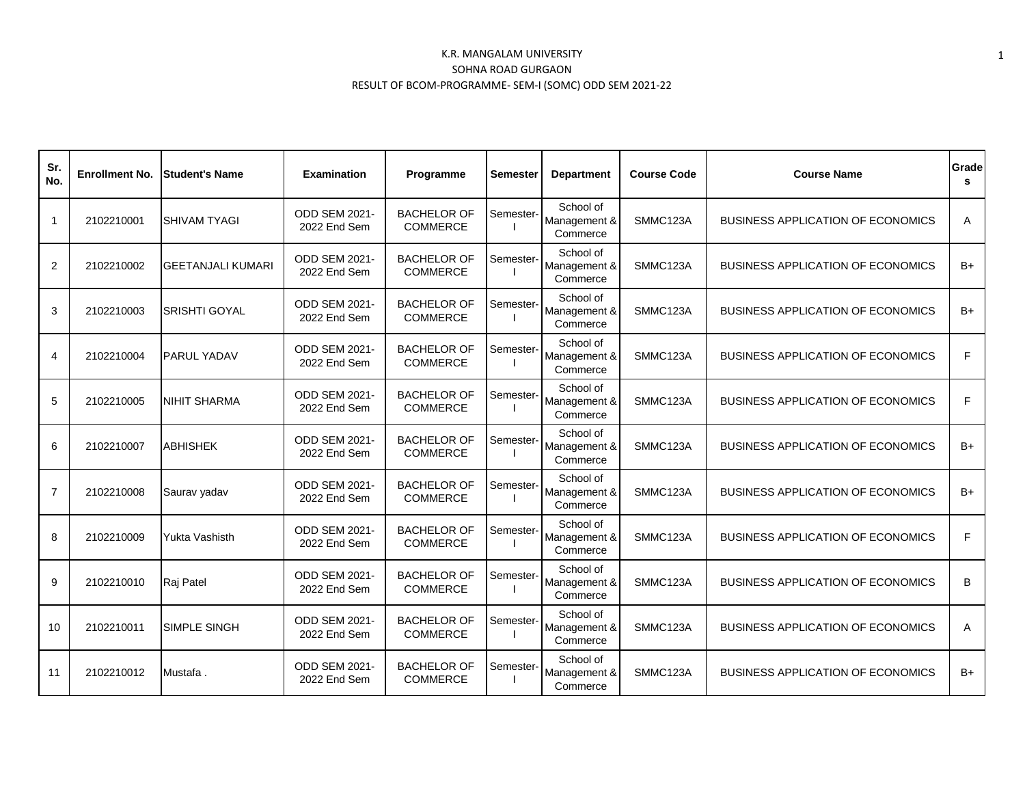| Sr.<br>No.     | <b>Enrollment No.</b> | lStudent's Name          | <b>Examination</b>                   | Programme                             | Semester  | <b>Department</b>                     | <b>Course Code</b> | <b>Course Name</b>                       | Grade<br>s |
|----------------|-----------------------|--------------------------|--------------------------------------|---------------------------------------|-----------|---------------------------------------|--------------------|------------------------------------------|------------|
| $\mathbf{1}$   | 2102210001            | <b>SHIVAM TYAGI</b>      | <b>ODD SEM 2021-</b><br>2022 End Sem | <b>BACHELOR OF</b><br><b>COMMERCE</b> | Semester- | School of<br>Management &<br>Commerce | SMMC123A           | <b>BUSINESS APPLICATION OF ECONOMICS</b> | A          |
| 2              | 2102210002            | <b>GEETANJALI KUMARI</b> | <b>ODD SEM 2021-</b><br>2022 End Sem | <b>BACHELOR OF</b><br><b>COMMERCE</b> | Semester- | School of<br>Management &<br>Commerce | SMMC123A           | <b>BUSINESS APPLICATION OF ECONOMICS</b> | $B+$       |
| 3              | 2102210003            | <b>SRISHTI GOYAL</b>     | ODD SEM 2021-<br>2022 End Sem        | <b>BACHELOR OF</b><br><b>COMMERCE</b> | Semester- | School of<br>Management &<br>Commerce | SMMC123A           | <b>BUSINESS APPLICATION OF ECONOMICS</b> | B+         |
| 4              | 2102210004            | PARUL YADAV              | ODD SEM 2021-<br>2022 End Sem        | <b>BACHELOR OF</b><br>COMMERCE        | Semester- | School of<br>Management &<br>Commerce | SMMC123A           | <b>BUSINESS APPLICATION OF ECONOMICS</b> | F          |
| 5              | 2102210005            | <b>NIHIT SHARMA</b>      | ODD SEM 2021-<br>2022 End Sem        | <b>BACHELOR OF</b><br><b>COMMERCE</b> | Semester- | School of<br>Management &<br>Commerce | SMMC123A           | <b>BUSINESS APPLICATION OF ECONOMICS</b> | F          |
| 6              | 2102210007            | <b>ABHISHEK</b>          | ODD SEM 2021-<br>2022 End Sem        | <b>BACHELOR OF</b><br><b>COMMERCE</b> | Semester- | School of<br>Management &<br>Commerce | SMMC123A           | <b>BUSINESS APPLICATION OF ECONOMICS</b> | $B+$       |
| $\overline{7}$ | 2102210008            | Saurav yadav             | <b>ODD SEM 2021-</b><br>2022 End Sem | <b>BACHELOR OF</b><br><b>COMMERCE</b> | Semester- | School of<br>Management &<br>Commerce | SMMC123A           | <b>BUSINESS APPLICATION OF ECONOMICS</b> | B+         |
| 8              | 2102210009            | Yukta Vashisth           | <b>ODD SEM 2021-</b><br>2022 End Sem | <b>BACHELOR OF</b><br><b>COMMERCE</b> | Semester- | School of<br>Management &<br>Commerce | SMMC123A           | <b>BUSINESS APPLICATION OF ECONOMICS</b> | F          |
| 9              | 2102210010            | Raj Patel                | <b>ODD SEM 2021-</b><br>2022 End Sem | <b>BACHELOR OF</b><br>COMMERCE        | Semester- | School of<br>Management &<br>Commerce | SMMC123A           | <b>BUSINESS APPLICATION OF ECONOMICS</b> | В          |
| 10             | 2102210011            | <b>SIMPLE SINGH</b>      | <b>ODD SEM 2021-</b><br>2022 End Sem | <b>BACHELOR OF</b><br><b>COMMERCE</b> | Semester- | School of<br>Management &<br>Commerce | SMMC123A           | <b>BUSINESS APPLICATION OF ECONOMICS</b> | A          |
| 11             | 2102210012            | Mustafa.                 | <b>ODD SEM 2021-</b><br>2022 End Sem | <b>BACHELOR OF</b><br><b>COMMERCE</b> | Semester- | School of<br>Management &<br>Commerce | SMMC123A           | <b>BUSINESS APPLICATION OF ECONOMICS</b> | $B+$       |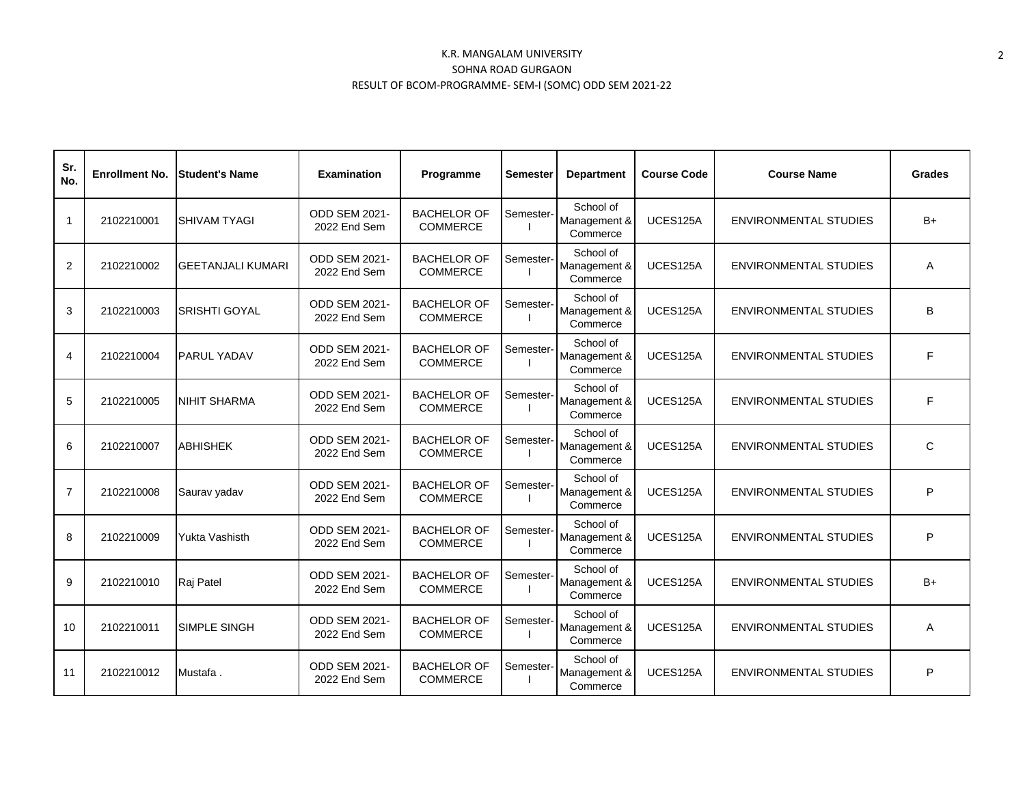| Sr.<br>No.     | <b>Enrollment No.</b> | <b>Student's Name</b>    | <b>Examination</b>                   | Programme                             | Semester  | <b>Department</b>                     | <b>Course Code</b> | <b>Course Name</b>           | <b>Grades</b> |
|----------------|-----------------------|--------------------------|--------------------------------------|---------------------------------------|-----------|---------------------------------------|--------------------|------------------------------|---------------|
| $\mathbf{1}$   | 2102210001            | <b>SHIVAM TYAGI</b>      | ODD SEM 2021-<br>2022 End Sem        | <b>BACHELOR OF</b><br><b>COMMERCE</b> | Semester- | School of<br>Management &<br>Commerce | UCES125A           | ENVIRONMENTAL STUDIES        | B+            |
| 2              | 2102210002            | <b>GEETANJALI KUMARI</b> | ODD SEM 2021-<br>2022 End Sem        | <b>BACHELOR OF</b><br><b>COMMERCE</b> | Semester- | School of<br>Management &<br>Commerce | UCES125A           | ENVIRONMENTAL STUDIES        | A             |
| 3              | 2102210003            | <b>SRISHTI GOYAL</b>     | <b>ODD SEM 2021-</b><br>2022 End Sem | <b>BACHELOR OF</b><br><b>COMMERCE</b> | Semester- | School of<br>Management &<br>Commerce | UCES125A           | <b>ENVIRONMENTAL STUDIES</b> | B             |
| $\overline{4}$ | 2102210004            | <b>PARUL YADAV</b>       | ODD SEM 2021-<br>2022 End Sem        | <b>BACHELOR OF</b><br><b>COMMERCE</b> | Semester- | School of<br>Management &<br>Commerce | UCES125A           | <b>ENVIRONMENTAL STUDIES</b> | F             |
| 5              | 2102210005            | <b>NIHIT SHARMA</b>      | ODD SEM 2021-<br>2022 End Sem        | <b>BACHELOR OF</b><br><b>COMMERCE</b> | Semester- | School of<br>Management &<br>Commerce | UCES125A           | <b>ENVIRONMENTAL STUDIES</b> | F             |
| 6              | 2102210007            | <b>ABHISHEK</b>          | ODD SEM 2021-<br>2022 End Sem        | <b>BACHELOR OF</b><br><b>COMMERCE</b> | Semester- | School of<br>Management &<br>Commerce | UCES125A           | <b>ENVIRONMENTAL STUDIES</b> | $\mathsf{C}$  |
| $\overline{7}$ | 2102210008            | Saurav yadav             | ODD SEM 2021-<br>2022 End Sem        | <b>BACHELOR OF</b><br><b>COMMERCE</b> | Semester- | School of<br>Management &<br>Commerce | UCES125A           | <b>ENVIRONMENTAL STUDIES</b> | P             |
| 8              | 2102210009            | <b>Yukta Vashisth</b>    | <b>ODD SEM 2021-</b><br>2022 End Sem | <b>BACHELOR OF</b><br><b>COMMERCE</b> | Semester- | School of<br>Management &<br>Commerce | UCES125A           | <b>ENVIRONMENTAL STUDIES</b> | P             |
| 9              | 2102210010            | Raj Patel                | ODD SEM 2021-<br>2022 End Sem        | <b>BACHELOR OF</b><br><b>COMMERCE</b> | Semester- | School of<br>Management &<br>Commerce | UCES125A           | <b>ENVIRONMENTAL STUDIES</b> | B+            |
| 10             | 2102210011            | <b>SIMPLE SINGH</b>      | <b>ODD SEM 2021-</b><br>2022 End Sem | <b>BACHELOR OF</b><br><b>COMMERCE</b> | Semester- | School of<br>Management &<br>Commerce | UCES125A           | <b>ENVIRONMENTAL STUDIES</b> | A             |
| 11             | 2102210012            | Mustafa.                 | <b>ODD SEM 2021-</b><br>2022 End Sem | <b>BACHELOR OF</b><br><b>COMMERCE</b> | Semester- | School of<br>Management &<br>Commerce | UCES125A           | <b>ENVIRONMENTAL STUDIES</b> | P             |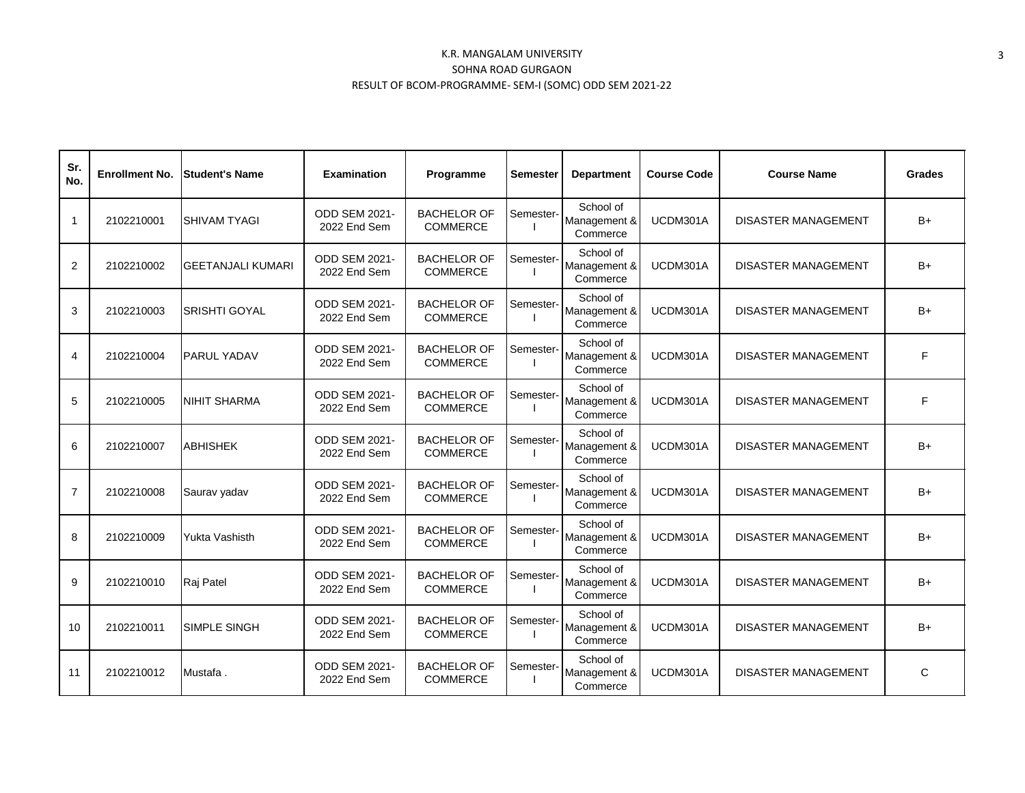| Sr.<br>No.     | <b>Enrollment No.</b> | <b>Student's Name</b>    | <b>Examination</b>                   | Programme                             | <b>Semester</b> | <b>Department</b>                     | <b>Course Code</b> | <b>Course Name</b>         | <b>Grades</b> |
|----------------|-----------------------|--------------------------|--------------------------------------|---------------------------------------|-----------------|---------------------------------------|--------------------|----------------------------|---------------|
| $\mathbf{1}$   | 2102210001            | <b>SHIVAM TYAGI</b>      | <b>ODD SEM 2021-</b><br>2022 End Sem | <b>BACHELOR OF</b><br><b>COMMERCE</b> | Semester-       | School of<br>Management &<br>Commerce | UCDM301A           | <b>DISASTER MANAGEMENT</b> | $B+$          |
| $\overline{2}$ | 2102210002            | <b>GEETANJALI KUMARI</b> | <b>ODD SEM 2021-</b><br>2022 End Sem | <b>BACHELOR OF</b><br><b>COMMERCE</b> | Semester-       | School of<br>Management &<br>Commerce | UCDM301A           | <b>DISASTER MANAGEMENT</b> | $B+$          |
| 3              | 2102210003            | <b>SRISHTI GOYAL</b>     | <b>ODD SEM 2021-</b><br>2022 End Sem | <b>BACHELOR OF</b><br><b>COMMERCE</b> | Semester-       | School of<br>Management &<br>Commerce | UCDM301A           | <b>DISASTER MANAGEMENT</b> | $B+$          |
| 4              | 2102210004            | PARUL YADAV              | <b>ODD SEM 2021-</b><br>2022 End Sem | <b>BACHELOR OF</b><br><b>COMMERCE</b> | Semester-       | School of<br>Management &<br>Commerce | UCDM301A           | <b>DISASTER MANAGEMENT</b> | F             |
| 5              | 2102210005            | <b>NIHIT SHARMA</b>      | <b>ODD SEM 2021-</b><br>2022 End Sem | <b>BACHELOR OF</b><br><b>COMMERCE</b> | Semester-       | School of<br>Management &<br>Commerce | UCDM301A           | <b>DISASTER MANAGEMENT</b> | F             |
| 6              | 2102210007            | <b>ABHISHEK</b>          | <b>ODD SEM 2021-</b><br>2022 End Sem | <b>BACHELOR OF</b><br><b>COMMERCE</b> | Semester-       | School of<br>Management &<br>Commerce | UCDM301A           | <b>DISASTER MANAGEMENT</b> | $B+$          |
| $\overline{7}$ | 2102210008            | Saurav yadav             | <b>ODD SEM 2021-</b><br>2022 End Sem | <b>BACHELOR OF</b><br><b>COMMERCE</b> | Semester-       | School of<br>Management &<br>Commerce | UCDM301A           | <b>DISASTER MANAGEMENT</b> | $B+$          |
| 8              | 2102210009            | Yukta Vashisth           | <b>ODD SEM 2021-</b><br>2022 End Sem | <b>BACHELOR OF</b><br><b>COMMERCE</b> | Semester-       | School of<br>Management &<br>Commerce | UCDM301A           | <b>DISASTER MANAGEMENT</b> | $B+$          |
| 9              | 2102210010            | Raj Patel                | <b>ODD SEM 2021-</b><br>2022 End Sem | <b>BACHELOR OF</b><br><b>COMMERCE</b> | Semester-       | School of<br>Management &<br>Commerce | UCDM301A           | <b>DISASTER MANAGEMENT</b> | $B+$          |
| 10             | 2102210011            | SIMPLE SINGH             | <b>ODD SEM 2021-</b><br>2022 End Sem | <b>BACHELOR OF</b><br><b>COMMERCE</b> | Semester-       | School of<br>Management &<br>Commerce | UCDM301A           | <b>DISASTER MANAGEMENT</b> | $B+$          |
| 11             | 2102210012            | Mustafa.                 | <b>ODD SEM 2021-</b><br>2022 End Sem | <b>BACHELOR OF</b><br><b>COMMERCE</b> | Semester-       | School of<br>Management &<br>Commerce | UCDM301A           | <b>DISASTER MANAGEMENT</b> | C             |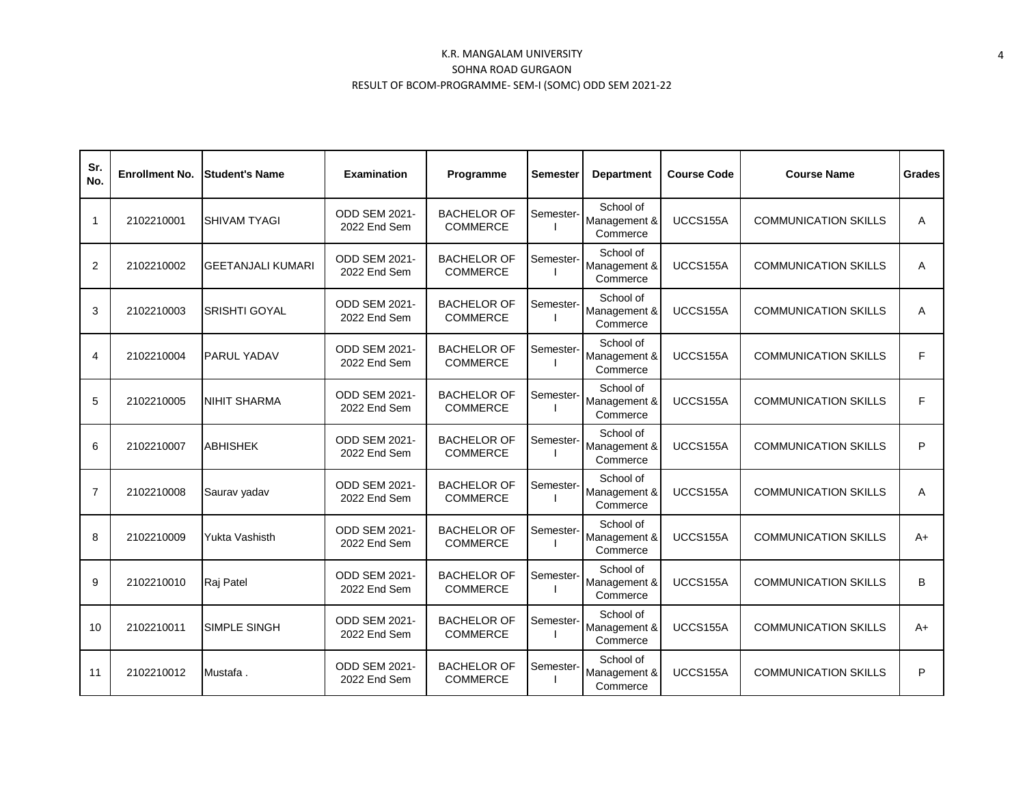| Sr.<br>No.     | <b>Enrollment No.</b> | <b>Student's Name</b>    | <b>Examination</b>                   | Programme                             | Semester  | <b>Department</b>                     | <b>Course Code</b> | <b>Course Name</b>          | <b>Grades</b> |
|----------------|-----------------------|--------------------------|--------------------------------------|---------------------------------------|-----------|---------------------------------------|--------------------|-----------------------------|---------------|
| 1              | 2102210001            | <b>SHIVAM TYAGI</b>      | <b>ODD SEM 2021-</b><br>2022 End Sem | <b>BACHELOR OF</b><br><b>COMMERCE</b> | Semester- | School of<br>Management &<br>Commerce | UCCS155A           | <b>COMMUNICATION SKILLS</b> | A             |
| 2              | 2102210002            | <b>GEETANJALI KUMARI</b> | <b>ODD SEM 2021-</b><br>2022 End Sem | <b>BACHELOR OF</b><br><b>COMMERCE</b> | Semester- | School of<br>Management &<br>Commerce | UCCS155A           | <b>COMMUNICATION SKILLS</b> | A             |
| 3              | 2102210003            | <b>SRISHTI GOYAL</b>     | <b>ODD SEM 2021-</b><br>2022 End Sem | <b>BACHELOR OF</b><br><b>COMMERCE</b> | Semester- | School of<br>Management &<br>Commerce | UCCS155A           | <b>COMMUNICATION SKILLS</b> | A             |
| 4              | 2102210004            | PARUL YADAV              | <b>ODD SEM 2021-</b><br>2022 End Sem | <b>BACHELOR OF</b><br><b>COMMERCE</b> | Semester- | School of<br>Management &<br>Commerce | UCCS155A           | <b>COMMUNICATION SKILLS</b> | F             |
| 5              | 2102210005            | <b>NIHIT SHARMA</b>      | <b>ODD SEM 2021-</b><br>2022 End Sem | <b>BACHELOR OF</b><br><b>COMMERCE</b> | Semester- | School of<br>Management &<br>Commerce | UCCS155A           | <b>COMMUNICATION SKILLS</b> | F             |
| 6              | 2102210007            | <b>ABHISHEK</b>          | <b>ODD SEM 2021-</b><br>2022 End Sem | <b>BACHELOR OF</b><br><b>COMMERCE</b> | Semester- | School of<br>Management &<br>Commerce | UCCS155A           | <b>COMMUNICATION SKILLS</b> | P             |
| $\overline{7}$ | 2102210008            | Saurav yadav             | <b>ODD SEM 2021-</b><br>2022 End Sem | <b>BACHELOR OF</b><br><b>COMMERCE</b> | Semester- | School of<br>Management &<br>Commerce | UCCS155A           | <b>COMMUNICATION SKILLS</b> | A             |
| 8              | 2102210009            | Yukta Vashisth           | <b>ODD SEM 2021-</b><br>2022 End Sem | <b>BACHELOR OF</b><br><b>COMMERCE</b> | Semester- | School of<br>Management &<br>Commerce | UCCS155A           | <b>COMMUNICATION SKILLS</b> | $A+$          |
| 9              | 2102210010            | Raj Patel                | <b>ODD SEM 2021-</b><br>2022 End Sem | <b>BACHELOR OF</b><br><b>COMMERCE</b> | Semester- | School of<br>Management &<br>Commerce | UCCS155A           | <b>COMMUNICATION SKILLS</b> | B             |
| 10             | 2102210011            | SIMPLE SINGH             | <b>ODD SEM 2021-</b><br>2022 End Sem | <b>BACHELOR OF</b><br><b>COMMERCE</b> | Semester- | School of<br>Management &<br>Commerce | UCCS155A           | <b>COMMUNICATION SKILLS</b> | $A+$          |
| 11             | 2102210012            | Mustafa.                 | <b>ODD SEM 2021-</b><br>2022 End Sem | <b>BACHELOR OF</b><br><b>COMMERCE</b> | Semester- | School of<br>Management &<br>Commerce | UCCS155A           | <b>COMMUNICATION SKILLS</b> | P             |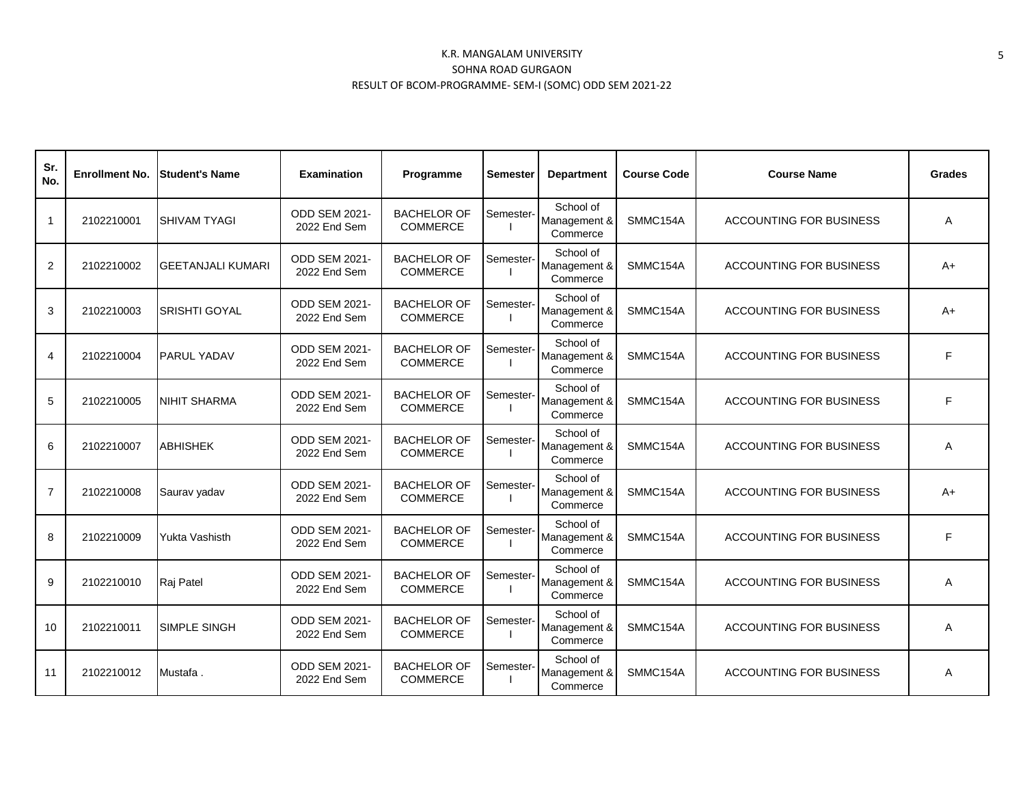| Sr.<br>No.     | <b>Enrollment No.</b> | <b>Student's Name</b>    | <b>Examination</b>                   | Programme                             | <b>Semester</b> | <b>Department</b>                     | <b>Course Code</b> | <b>Course Name</b>             | <b>Grades</b> |
|----------------|-----------------------|--------------------------|--------------------------------------|---------------------------------------|-----------------|---------------------------------------|--------------------|--------------------------------|---------------|
| $\mathbf{1}$   | 2102210001            | <b>SHIVAM TYAGI</b>      | <b>ODD SEM 2021-</b><br>2022 End Sem | <b>BACHELOR OF</b><br><b>COMMERCE</b> | Semester-       | School of<br>Management &<br>Commerce | SMMC154A           | <b>ACCOUNTING FOR BUSINESS</b> | A             |
| 2              | 2102210002            | <b>GEETANJALI KUMARI</b> | <b>ODD SEM 2021-</b><br>2022 End Sem | <b>BACHELOR OF</b><br><b>COMMERCE</b> | Semester-       | School of<br>Management &<br>Commerce | SMMC154A           | <b>ACCOUNTING FOR BUSINESS</b> | A+            |
| 3              | 2102210003            | <b>SRISHTI GOYAL</b>     | <b>ODD SEM 2021-</b><br>2022 End Sem | <b>BACHELOR OF</b><br><b>COMMERCE</b> | Semester-       | School of<br>Management &<br>Commerce | SMMC154A           | <b>ACCOUNTING FOR BUSINESS</b> | A+            |
| $\overline{4}$ | 2102210004            | <b>PARUL YADAV</b>       | <b>ODD SEM 2021-</b><br>2022 End Sem | <b>BACHELOR OF</b><br><b>COMMERCE</b> | Semester-       | School of<br>Management &<br>Commerce | SMMC154A           | <b>ACCOUNTING FOR BUSINESS</b> | F             |
| 5              | 2102210005            | <b>NIHIT SHARMA</b>      | <b>ODD SEM 2021-</b><br>2022 End Sem | <b>BACHELOR OF</b><br><b>COMMERCE</b> | Semester-       | School of<br>Management &<br>Commerce | SMMC154A           | <b>ACCOUNTING FOR BUSINESS</b> | F             |
| 6              | 2102210007            | <b>ABHISHEK</b>          | <b>ODD SEM 2021-</b><br>2022 End Sem | <b>BACHELOR OF</b><br><b>COMMERCE</b> | Semester-       | School of<br>Management &<br>Commerce | SMMC154A           | <b>ACCOUNTING FOR BUSINESS</b> | A             |
| $\overline{7}$ | 2102210008            | Saurav yadav             | <b>ODD SEM 2021-</b><br>2022 End Sem | <b>BACHELOR OF</b><br><b>COMMERCE</b> | Semester-       | School of<br>Management &<br>Commerce | SMMC154A           | <b>ACCOUNTING FOR BUSINESS</b> | $A+$          |
| 8              | 2102210009            | Yukta Vashisth           | <b>ODD SEM 2021-</b><br>2022 End Sem | <b>BACHELOR OF</b><br><b>COMMERCE</b> | Semester-       | School of<br>Management &<br>Commerce | SMMC154A           | ACCOUNTING FOR BUSINESS        | F             |
| 9              | 2102210010            | Raj Patel                | <b>ODD SEM 2021-</b><br>2022 End Sem | <b>BACHELOR OF</b><br><b>COMMERCE</b> | Semester-       | School of<br>Management &<br>Commerce | SMMC154A           | <b>ACCOUNTING FOR BUSINESS</b> | A             |
| 10             | 2102210011            | SIMPLE SINGH             | <b>ODD SEM 2021-</b><br>2022 End Sem | <b>BACHELOR OF</b><br><b>COMMERCE</b> | Semester-       | School of<br>Management &<br>Commerce | SMMC154A           | <b>ACCOUNTING FOR BUSINESS</b> | A             |
| 11             | 2102210012            | Mustafa.                 | <b>ODD SEM 2021-</b><br>2022 End Sem | <b>BACHELOR OF</b><br><b>COMMERCE</b> | Semester-       | School of<br>Management &<br>Commerce | SMMC154A           | <b>ACCOUNTING FOR BUSINESS</b> | A             |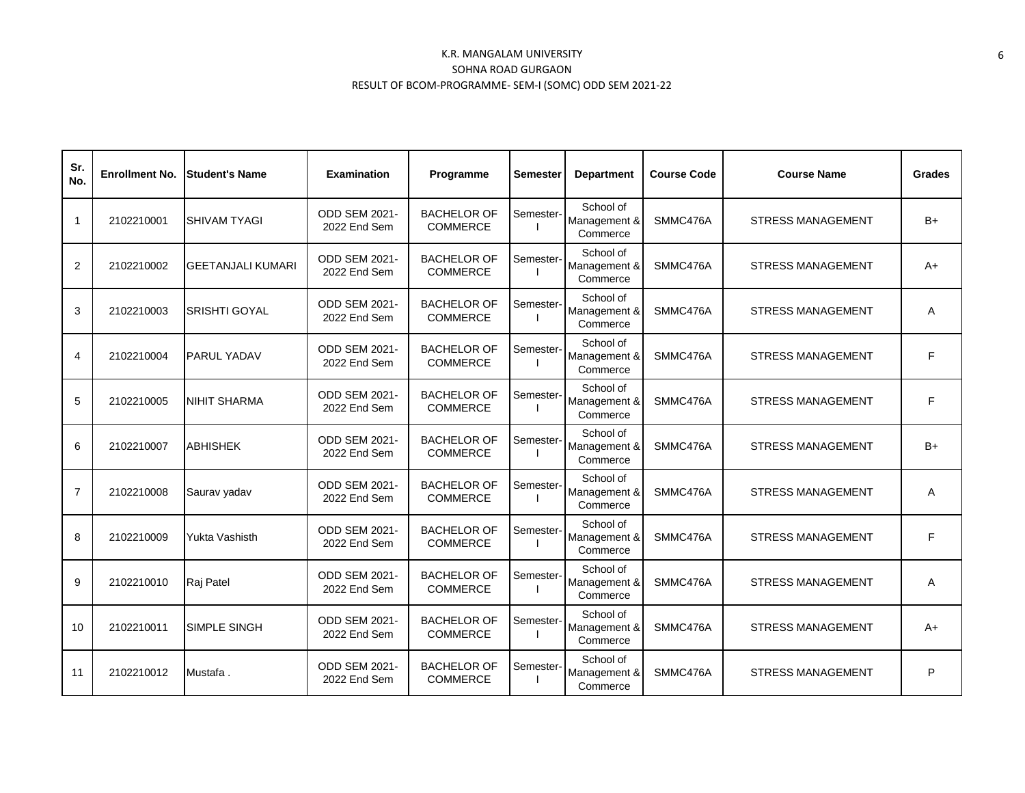| Sr.<br>No.     | <b>Enrollment No.</b> | <b>Student's Name</b>    | Examination                          | Programme                             | Semester  | <b>Department</b>                     | <b>Course Code</b> | <b>Course Name</b>       | <b>Grades</b> |
|----------------|-----------------------|--------------------------|--------------------------------------|---------------------------------------|-----------|---------------------------------------|--------------------|--------------------------|---------------|
| $\mathbf{1}$   | 2102210001            | <b>SHIVAM TYAGI</b>      | <b>ODD SEM 2021-</b><br>2022 End Sem | <b>BACHELOR OF</b><br><b>COMMERCE</b> | Semester- | School of<br>Management &<br>Commerce | SMMC476A           | <b>STRESS MANAGEMENT</b> | $B+$          |
| 2              | 2102210002            | <b>GEETANJALI KUMARI</b> | <b>ODD SEM 2021-</b><br>2022 End Sem | <b>BACHELOR OF</b><br><b>COMMERCE</b> | Semester- | School of<br>Management &<br>Commerce | SMMC476A           | <b>STRESS MANAGEMENT</b> | A+            |
| 3              | 2102210003            | <b>SRISHTI GOYAL</b>     | <b>ODD SEM 2021-</b><br>2022 End Sem | <b>BACHELOR OF</b><br><b>COMMERCE</b> | Semester- | School of<br>Management &<br>Commerce | SMMC476A           | STRESS MANAGEMENT        | A             |
| 4              | 2102210004            | PARUL YADAV              | <b>ODD SEM 2021-</b><br>2022 End Sem | <b>BACHELOR OF</b><br><b>COMMERCE</b> | Semester- | School of<br>Management &<br>Commerce | SMMC476A           | <b>STRESS MANAGEMENT</b> | F             |
| 5              | 2102210005            | <b>NIHIT SHARMA</b>      | <b>ODD SEM 2021-</b><br>2022 End Sem | <b>BACHELOR OF</b><br><b>COMMERCE</b> | Semester- | School of<br>Management &<br>Commerce | SMMC476A           | <b>STRESS MANAGEMENT</b> | F             |
| 6              | 2102210007            | <b>ABHISHEK</b>          | ODD SEM 2021-<br>2022 End Sem        | <b>BACHELOR OF</b><br><b>COMMERCE</b> | Semester- | School of<br>Management &<br>Commerce | SMMC476A           | <b>STRESS MANAGEMENT</b> | B+            |
| $\overline{7}$ | 2102210008            | Saurav yadav             | <b>ODD SEM 2021-</b><br>2022 End Sem | <b>BACHELOR OF</b><br><b>COMMERCE</b> | Semester- | School of<br>Management &<br>Commerce | SMMC476A           | <b>STRESS MANAGEMENT</b> | A             |
| 8              | 2102210009            | Yukta Vashisth           | <b>ODD SEM 2021-</b><br>2022 End Sem | <b>BACHELOR OF</b><br><b>COMMERCE</b> | Semester- | School of<br>Management &<br>Commerce | SMMC476A           | <b>STRESS MANAGEMENT</b> | F             |
| 9              | 2102210010            | Raj Patel                | <b>ODD SEM 2021-</b><br>2022 End Sem | <b>BACHELOR OF</b><br><b>COMMERCE</b> | Semester- | School of<br>Management &<br>Commerce | SMMC476A           | <b>STRESS MANAGEMENT</b> | Α             |
| 10             | 2102210011            | <b>SIMPLE SINGH</b>      | <b>ODD SEM 2021-</b><br>2022 End Sem | <b>BACHELOR OF</b><br><b>COMMERCE</b> | Semester- | School of<br>Management &<br>Commerce | SMMC476A           | <b>STRESS MANAGEMENT</b> | A+            |
| 11             | 2102210012            | Mustafa.                 | <b>ODD SEM 2021-</b><br>2022 End Sem | <b>BACHELOR OF</b><br><b>COMMERCE</b> | Semester- | School of<br>Management &<br>Commerce | SMMC476A           | <b>STRESS MANAGEMENT</b> | P             |